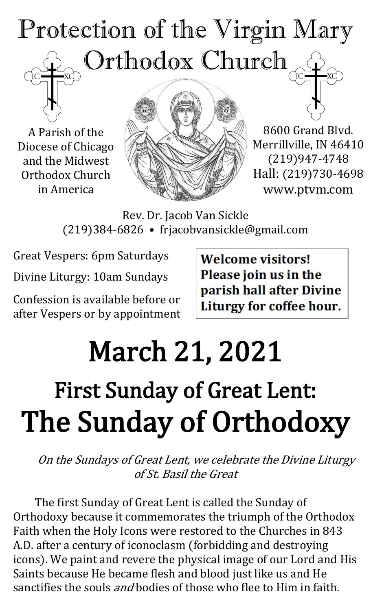

A Parish of the Diocese of Chicago and the Midwest Orthodox Church in America



8600 Grand Blvd. Merrillville, IN 46410 (219)947-4748 Hall: (219)730-4698 www.ptvm.com

Rev. Dr. Jacob Van Sickle (219)384-6826 • frjacobvansickle@gmail.com

Great Vespers: 6pm Saturdays

Divine Liturgy: 10am Sundays

Confession is available before or after Vespers or by appointment **Welcome visitors!** Please join us in the parish hall after Divine Liturgy for coffee hour.

# March 21, 2021 First Sunday of Great Lent: The Sunday of Orthodoxy

On the Sundays of Great Lent, we celebrate the Divine Liturgy of St. Basil the Great

The first Sunday of Great Lent is called the Sunday of Orthodoxy because it commemorates the triumph of the Orthodox Faith when the Holy Icons were restored to the Churches in 843 A.D. after a century of iconoclasm (forbidding and destroying icons). We paint and revere the physical image of our Lord and His Saints because He became flesh and blood just like us and He sanctifies the souls *and* bodies of those who flee to Him in faith.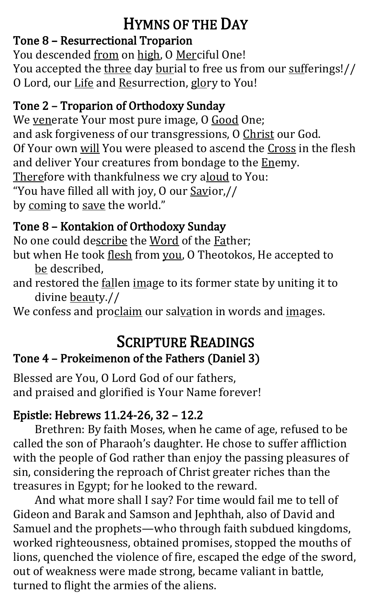## HYMNS OF THE DAY

#### Tone 8 – Resurrectional Troparion

You descended from on high, O Merciful One! You accepted the three day burial to free us from our sufferings!// O Lord, our Life and Resurrection, glory to You!

#### Tone 2 – Troparion of Orthodoxy Sunday

We venerate Your most pure image, O Good One; and ask forgiveness of our transgressions, O Christ our God. Of Your own will You were pleased to ascend the Cross in the flesh and deliver Your creatures from bondage to the Enemy. Therefore with thankfulness we cry aloud to You: "You have filled all with joy, O our Savior,// by coming to save the world."

#### Tone 8 – Kontakion of Orthodoxy Sunday

No one could describe the Word of the Father; but when He took flesh from you, O Theotokos, He accepted to be described,

and restored the fallen image to its former state by uniting it to divine beauty.//

We confess and proclaim our salvation in words and images.

# SCRIPTURE READINGS

#### Tone 4 – Prokeimenon of the Fathers (Daniel 3)

Blessed are You, O Lord God of our fathers, and praised and glorified is Your Name forever!

#### Epistle: Hebrews 11.24-26, 32 – 12.2

Brethren: By faith Moses, when he came of age, refused to be called the son of Pharaoh's daughter. He chose to suffer affliction with the people of God rather than enjoy the passing pleasures of sin, considering the reproach of Christ greater riches than the treasures in Egypt; for he looked to the reward.

And what more shall I say? For time would fail me to tell of Gideon and Barak and Samson and Jephthah, also of David and Samuel and the prophets—who through faith subdued kingdoms, worked righteousness, obtained promises, stopped the mouths of lions, quenched the violence of fire, escaped the edge of the sword, out of weakness were made strong, became valiant in battle, turned to flight the armies of the aliens.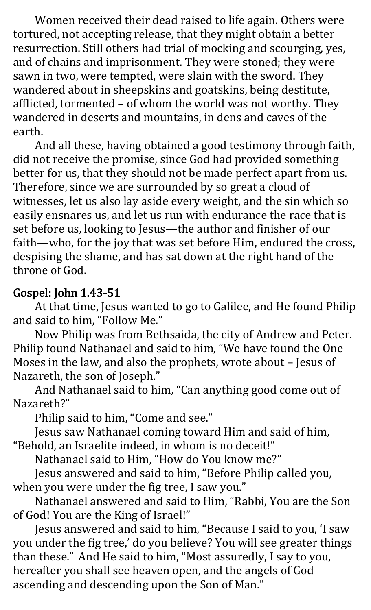Women received their dead raised to life again. Others were tortured, not accepting release, that they might obtain a better resurrection. Still others had trial of mocking and scourging, yes, and of chains and imprisonment. They were stoned; they were sawn in two, were tempted, were slain with the sword. They wandered about in sheepskins and goatskins, being destitute, afflicted, tormented – of whom the world was not worthy. They wandered in deserts and mountains, in dens and caves of the earth.

And all these, having obtained a good testimony through faith, did not receive the promise, since God had provided something better for us, that they should not be made perfect apart from us. Therefore, since we are surrounded by so great a cloud of witnesses, let us also lay aside every weight, and the sin which so easily ensnares us, and let us run with endurance the race that is set before us, looking to Jesus—the author and finisher of our faith—who, for the joy that was set before Him, endured the cross, despising the shame, and has sat down at the right hand of the throne of God.

#### Gospel: John 1.43-51

At that time, Jesus wanted to go to Galilee, and He found Philip and said to him, "Follow Me."

Now Philip was from Bethsaida, the city of Andrew and Peter. Philip found Nathanael and said to him, "We have found the One Moses in the law, and also the prophets, wrote about – Jesus of Nazareth, the son of Joseph."

And Nathanael said to him, "Can anything good come out of Nazareth?"

Philip said to him, "Come and see."

Jesus saw Nathanael coming toward Him and said of him, "Behold, an Israelite indeed, in whom is no deceit!"

Nathanael said to Him, "How do You know me?"

Jesus answered and said to him, "Before Philip called you, when you were under the fig tree, I saw you."

Nathanael answered and said to Him, "Rabbi, You are the Son of God! You are the King of Israel!"

Jesus answered and said to him, "Because I said to you, 'I saw you under the fig tree,' do you believe? You will see greater things than these." And He said to him, "Most assuredly, I say to you, hereafter you shall see heaven open, and the angels of God ascending and descending upon the Son of Man."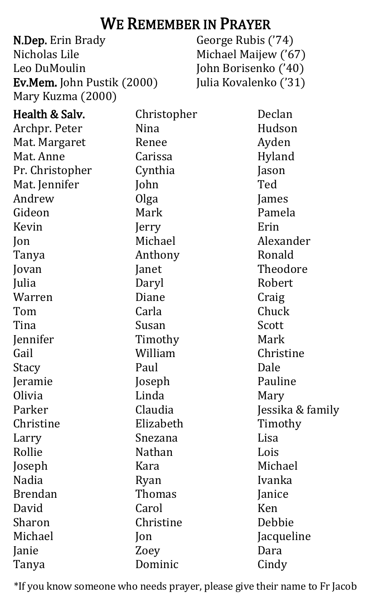### WE REMEMBER IN PRAYER

N.Dep. Erin Brady Nicholas Lile Leo DuMoulin Ev.Mem. John Pustik (2000) Mary Kuzma (2000)

George Rubis ('74) Michael Maijew ('67) John Borisenko ('40) Julia Kovalenko ('31)

| Health & Salv.  | Christopher    | Declan           |
|-----------------|----------------|------------------|
| Archpr. Peter   | Nina           | Hudson           |
| Mat. Margaret   | Renee          | Ayden            |
| Mat. Anne       | Carissa        | Hyland           |
| Pr. Christopher | Cynthia        | Jason            |
| Mat. Jennifer   | John           | Ted              |
| Andrew          | Olga           | James            |
| Gideon          | Mark           | Pamela           |
| Kevin           | Jerry          | Erin             |
| Jon             | Michael        | Alexander        |
| Tanya           | Anthony        | Ronald           |
| Jovan           | Janet          | Theodore         |
| Julia           | Daryl          | Robert           |
| Warren          | Diane          | Craig            |
| Tom             | Carla          | Chuck            |
| Tina            | Susan          | Scott            |
| Jennifer        | Timothy        | Mark             |
| Gail            | William        | Christine        |
| Stacy           | Paul           | Dale             |
| Jeramie         | Joseph         | Pauline          |
| Olivia          | Linda          | Mary             |
| Parker          | Claudia        | Jessika & family |
| Christine       | Elizabeth      | Timothy          |
| Larry           | Snezana        | Lisa             |
| Rollie          | Nathan         | Lois             |
| Joseph          | Kara           | Michael          |
| <b>Nadia</b>    | Ryan           | Ivanka           |
| <b>Brendan</b>  | Thomas         | Janice           |
| David           | Carol          | Ken              |
| Sharon          | Christine      | Debbie           |
| Michael         | $\mathsf{lon}$ | Jacqueline       |
| Janie           | Zoey           | Dara             |
| Tanya           | Dominic        | Cindy            |
|                 |                |                  |

\*If you know someone who needs prayer, please give their name to Fr Jacob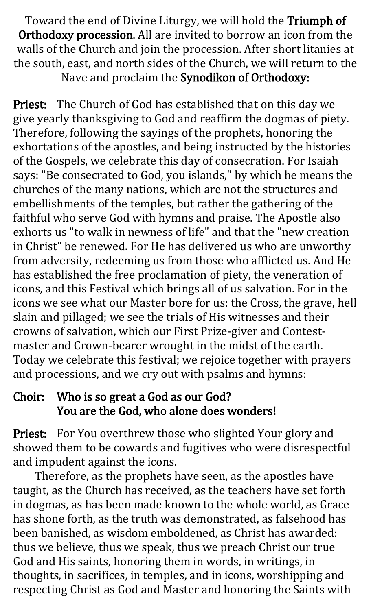Toward the end of Divine Liturgy, we will hold the Triumph of Orthodoxy procession. All are invited to borrow an icon from the walls of the Church and join the procession. After short litanies at the south, east, and north sides of the Church, we will return to the Nave and proclaim the Synodikon of Orthodoxy:

Priest: The Church of God has established that on this day we give yearly thanksgiving to God and reaffirm the dogmas of piety. Therefore, following the sayings of the prophets, honoring the exhortations of the apostles, and being instructed by the histories of the Gospels, we celebrate this day of consecration. For Isaiah says: "Be consecrated to God, you islands," by which he means the churches of the many nations, which are not the structures and embellishments of the temples, but rather the gathering of the faithful who serve God with hymns and praise. The Apostle also exhorts us "to walk in newness of life" and that the "new creation in Christ" be renewed. For He has delivered us who are unworthy from adversity, redeeming us from those who afflicted us. And He has established the free proclamation of piety, the veneration of icons, and this Festival which brings all of us salvation. For in the icons we see what our Master bore for us: the Cross, the grave, hell slain and pillaged; we see the trials of His witnesses and their crowns of salvation, which our First Prize-giver and Contestmaster and Crown-bearer wrought in the midst of the earth. Today we celebrate this festival; we rejoice together with prayers and processions, and we cry out with psalms and hymns:

#### Choir: Who is so great a God as our God? You are the God, who alone does wonders!

Priest: For You overthrew those who slighted Your glory and showed them to be cowards and fugitives who were disrespectful and impudent against the icons.

Therefore, as the prophets have seen, as the apostles have taught, as the Church has received, as the teachers have set forth in dogmas, as has been made known to the whole world, as Grace has shone forth, as the truth was demonstrated, as falsehood has been banished, as wisdom emboldened, as Christ has awarded: thus we believe, thus we speak, thus we preach Christ our true God and His saints, honoring them in words, in writings, in thoughts, in sacrifices, in temples, and in icons, worshipping and respecting Christ as God and Master and honoring the Saints with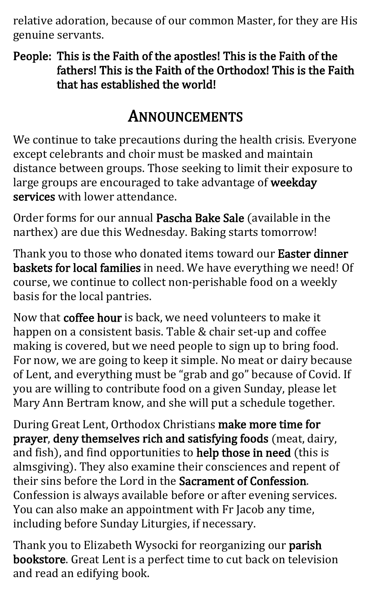relative adoration, because of our common Master, for they are His genuine servants.

People: This is the Faith of the apostles! This is the Faith of the fathers! This is the Faith of the Orthodox! This is the Faith that has established the world!

## ANNOUNCEMENTS

We continue to take precautions during the health crisis. Everyone except celebrants and choir must be masked and maintain distance between groups. Those seeking to limit their exposure to large groups are encouraged to take advantage of weekday services with lower attendance.

Order forms for our annual Pascha Bake Sale (available in the narthex) are due this Wednesday. Baking starts tomorrow!

Thank you to those who donated items toward our Easter dinner baskets for local families in need. We have everything we need! Of course, we continue to collect non-perishable food on a weekly basis for the local pantries.

Now that coffee hour is back, we need volunteers to make it happen on a consistent basis. Table & chair set-up and coffee making is covered, but we need people to sign up to bring food. For now, we are going to keep it simple. No meat or dairy because of Lent, and everything must be "grab and go" because of Covid. If you are willing to contribute food on a given Sunday, please let Mary Ann Bertram know, and she will put a schedule together.

During Great Lent, Orthodox Christians make more time for prayer, deny themselves rich and satisfying foods (meat, dairy, and fish), and find opportunities to help those in need (this is almsgiving). They also examine their consciences and repent of their sins before the Lord in the Sacrament of Confession. Confession is always available before or after evening services. You can also make an appointment with Fr Jacob any time, including before Sunday Liturgies, if necessary.

Thank you to Elizabeth Wysocki for reorganizing our parish bookstore. Great Lent is a perfect time to cut back on television and read an edifying book.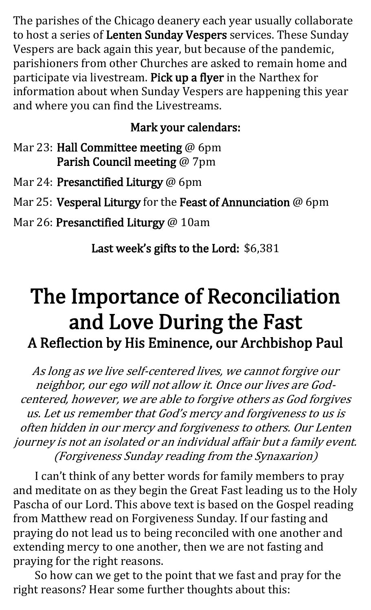The parishes of the Chicago deanery each year usually collaborate to host a series of Lenten Sunday Vespers services. These Sunday Vespers are back again this year, but because of the pandemic, parishioners from other Churches are asked to remain home and participate via livestream. Pick up a flyer in the Narthex for information about when Sunday Vespers are happening this year and where you can find the Livestreams.

#### Mark your calendars:

Mar 23: Hall Committee meeting @ 6pm Parish Council meeting @ 7pm

Mar 24: Presanctified Liturgy @ 6pm

Mar 25: Vesperal Liturgy for the Feast of Annunciation @ 6pm

Mar 26: Presanctified Liturgy @ 10am

Last week's gifts to the Lord: \$6,381

# The Importance of Reconciliation and Love During the Fast A Reflection by His Eminence, our Archbishop Paul

As long as we live self-centered lives, we cannot forgive our neighbor, our ego will not allow it. Once our lives are Godcentered, however, we are able to forgive others as God forgives us. Let us remember that God's mercy and forgiveness to us is often hidden in our mercy and forgiveness to others. Our Lenten journey is not an isolated or an individual affair but a family event. (Forgiveness Sunday reading from the Synaxarion)

I can't think of any better words for family members to pray and meditate on as they begin the Great Fast leading us to the Holy Pascha of our Lord. This above text is based on the Gospel reading from Matthew read on Forgiveness Sunday. If our fasting and praying do not lead us to being reconciled with one another and extending mercy to one another, then we are not fasting and praying for the right reasons.

So how can we get to the point that we fast and pray for the right reasons? Hear some further thoughts about this: